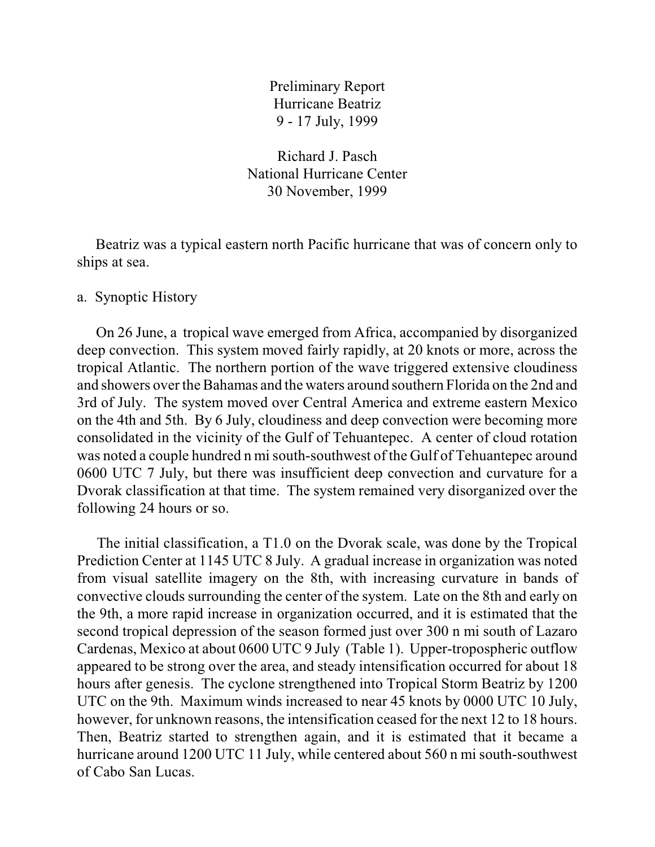Preliminary Report Hurricane Beatriz 9 - 17 July, 1999

Richard J. Pasch National Hurricane Center 30 November, 1999

 Beatriz was a typical eastern north Pacific hurricane that was of concern only to ships at sea.

## a. Synoptic History

 On 26 June, a tropical wave emerged from Africa, accompanied by disorganized deep convection. This system moved fairly rapidly, at 20 knots or more, across the tropical Atlantic. The northern portion of the wave triggered extensive cloudiness and showers over the Bahamas and the waters around southern Florida on the 2nd and 3rd of July. The system moved over Central America and extreme eastern Mexico on the 4th and 5th. By 6 July, cloudiness and deep convection were becoming more consolidated in the vicinity of the Gulf of Tehuantepec. A center of cloud rotation was noted a couple hundred n mi south-southwest of the Gulf of Tehuantepec around 0600 UTC 7 July, but there was insufficient deep convection and curvature for a Dvorak classification at that time. The system remained very disorganized over the following 24 hours or so.

 The initial classification, a T1.0 on the Dvorak scale, was done by the Tropical Prediction Center at 1145 UTC 8 July. A gradual increase in organization was noted from visual satellite imagery on the 8th, with increasing curvature in bands of convective clouds surrounding the center of the system. Late on the 8th and early on the 9th, a more rapid increase in organization occurred, and it is estimated that the second tropical depression of the season formed just over 300 n mi south of Lazaro Cardenas, Mexico at about 0600 UTC 9 July (Table 1). Upper-tropospheric outflow appeared to be strong over the area, and steady intensification occurred for about 18 hours after genesis. The cyclone strengthened into Tropical Storm Beatriz by 1200 UTC on the 9th. Maximum winds increased to near 45 knots by 0000 UTC 10 July, however, for unknown reasons, the intensification ceased for the next 12 to 18 hours. Then, Beatriz started to strengthen again, and it is estimated that it became a hurricane around 1200 UTC 11 July, while centered about 560 n mi south-southwest of Cabo San Lucas.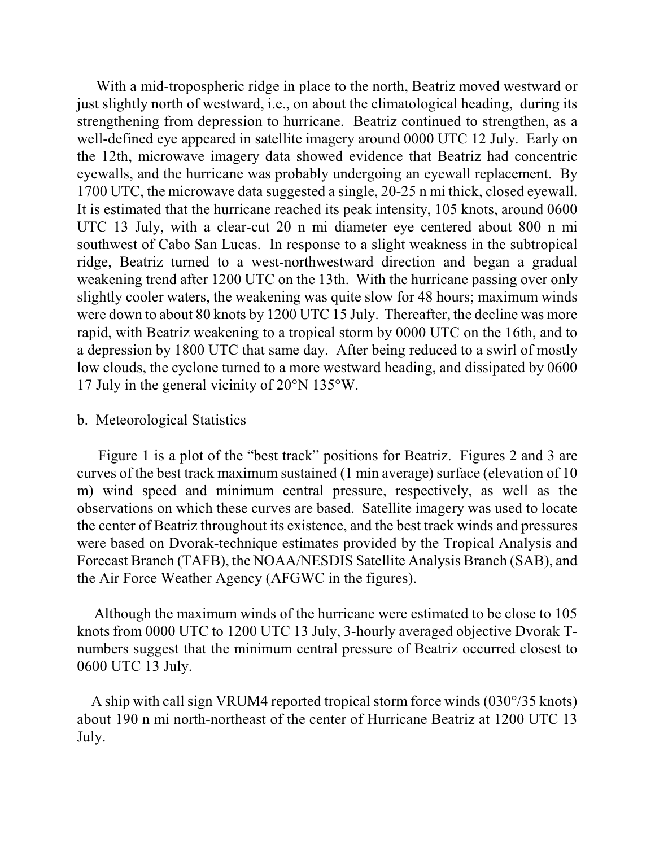With a mid-tropospheric ridge in place to the north, Beatriz moved westward or just slightly north of westward, i.e., on about the climatological heading, during its strengthening from depression to hurricane. Beatriz continued to strengthen, as a well-defined eye appeared in satellite imagery around 0000 UTC 12 July. Early on the 12th, microwave imagery data showed evidence that Beatriz had concentric eyewalls, and the hurricane was probably undergoing an eyewall replacement. By 1700 UTC, the microwave data suggested a single, 20-25 n mi thick, closed eyewall. It is estimated that the hurricane reached its peak intensity, 105 knots, around 0600 UTC 13 July, with a clear-cut 20 n mi diameter eye centered about 800 n mi southwest of Cabo San Lucas. In response to a slight weakness in the subtropical ridge, Beatriz turned to a west-northwestward direction and began a gradual weakening trend after 1200 UTC on the 13th. With the hurricane passing over only slightly cooler waters, the weakening was quite slow for 48 hours; maximum winds were down to about 80 knots by 1200 UTC 15 July. Thereafter, the decline was more rapid, with Beatriz weakening to a tropical storm by 0000 UTC on the 16th, and to a depression by 1800 UTC that same day. After being reduced to a swirl of mostly low clouds, the cyclone turned to a more westward heading, and dissipated by 0600 17 July in the general vicinity of 20°N 135°W.

## b. Meteorological Statistics

 Figure 1 is a plot of the "best track" positions for Beatriz. Figures 2 and 3 are curves of the best track maximum sustained (1 min average) surface (elevation of 10 m) wind speed and minimum central pressure, respectively, as well as the observations on which these curves are based. Satellite imagery was used to locate the center of Beatriz throughout its existence, and the best track winds and pressures were based on Dvorak-technique estimates provided by the Tropical Analysis and Forecast Branch (TAFB), the NOAA/NESDIS Satellite Analysis Branch (SAB), and the Air Force Weather Agency (AFGWC in the figures).

 Although the maximum winds of the hurricane were estimated to be close to 105 knots from 0000 UTC to 1200 UTC 13 July, 3-hourly averaged objective Dvorak Tnumbers suggest that the minimum central pressure of Beatriz occurred closest to 0600 UTC 13 July.

 A ship with call sign VRUM4 reported tropical storm force winds (030°/35 knots) about 190 n mi north-northeast of the center of Hurricane Beatriz at 1200 UTC 13 July.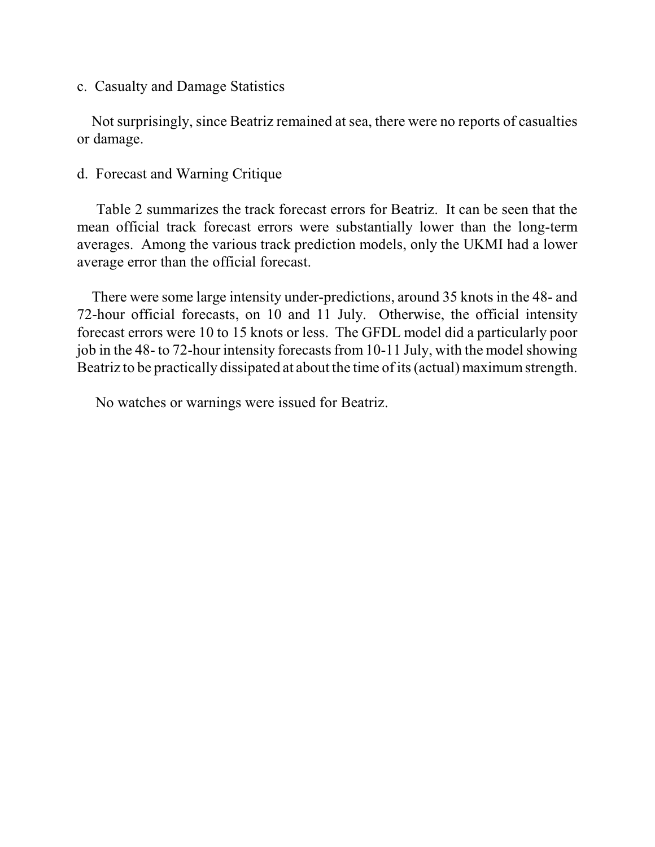## c. Casualty and Damage Statistics

 Not surprisingly, since Beatriz remained at sea, there were no reports of casualties or damage.

# d. Forecast and Warning Critique

 Table 2 summarizes the track forecast errors for Beatriz. It can be seen that the mean official track forecast errors were substantially lower than the long-term averages. Among the various track prediction models, only the UKMI had a lower average error than the official forecast.

 There were some large intensity under-predictions, around 35 knots in the 48- and 72-hour official forecasts, on 10 and 11 July. Otherwise, the official intensity forecast errors were 10 to 15 knots or less. The GFDL model did a particularly poor job in the 48- to 72-hour intensity forecasts from 10-11 July, with the model showing Beatriz to be practically dissipated at about the time of its (actual) maximum strength.

No watches or warnings were issued for Beatriz.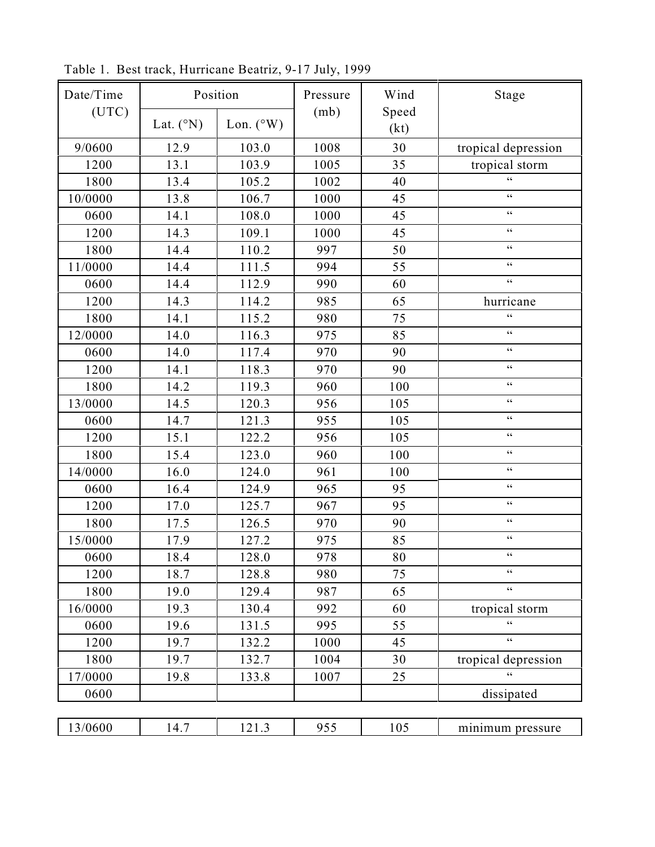| Date/Time | Position           |                    | Pressure | Wind          | Stage               |  |
|-----------|--------------------|--------------------|----------|---------------|---------------------|--|
| (UTC)     | Lat. $(^{\circ}N)$ | Lon. $(^{\circ}W)$ | (mb)     | Speed<br>(kt) |                     |  |
| 9/0600    | 12.9               | 103.0              | 1008     | 30            | tropical depression |  |
| 1200      | 13.1               | 103.9              | 1005     | 35            | tropical storm      |  |
| 1800      | 13.4               | 105.2              | 1002     | 40            | $\epsilon$          |  |
| 10/0000   | 13.8               | 106.7              | 1000     | 45            | $\zeta\,\zeta$      |  |
| 0600      | 14.1               | 108.0              | 1000     | 45            | $\zeta \, \zeta$    |  |
| 1200      | 14.3               | 109.1              | 1000     | 45            | $\zeta$ $\zeta$     |  |
| 1800      | 14.4               | 110.2              | 997      | 50            | $\zeta\,\zeta$      |  |
| 11/0000   | 14.4               | 111.5              | 994      | 55            | $\zeta\,\zeta$      |  |
| 0600      | 14.4               | 112.9              | 990      | 60            | $\zeta\,\zeta$      |  |
| 1200      | 14.3               | 114.2              | 985      | 65            | hurricane           |  |
| 1800      | 14.1               | 115.2              | 980      | 75            | $\epsilon$          |  |
| 12/0000   | 14.0               | 116.3              | 975      | 85            | $\zeta\,\zeta$      |  |
| 0600      | 14.0               | 117.4              | 970      | 90            | $\zeta$ $\zeta$     |  |
| 1200      | 14.1               | 118.3              | 970      | 90            | $\zeta\,\zeta$      |  |
| 1800      | 14.2               | 119.3              | 960      | 100           | $\zeta\,\zeta$      |  |
| 13/0000   | 14.5               | 120.3              | 956      | 105           | $\zeta\,\zeta$      |  |
| 0600      | 14.7               | 121.3              | 955      | 105           | $\zeta\,\zeta$      |  |
| 1200      | 15.1               | 122.2              | 956      | 105           | $\zeta$ $\zeta$     |  |
| 1800      | 15.4               | 123.0              | 960      | 100           | $\zeta \, \zeta$    |  |
| 14/0000   | 16.0               | 124.0              | 961      | 100           | $\zeta\,\zeta$      |  |
| 0600      | 16.4               | 124.9              | 965      | 95            | $\zeta\,\zeta$      |  |
| 1200      | 17.0               | 125.7              | 967      | 95            | $\zeta$ $\zeta$     |  |
| 1800      | 17.5               | 126.5              | 970      | 90            | $\zeta\,\zeta$      |  |
| 15/0000   | 17.9               | 127.2              | 975      | 85            | $\zeta \, \zeta$    |  |
| 0600      | 18.4               | 128.0              | 978      | 80            | $\zeta\,\zeta$      |  |
| 1200      | 18.7               | 128.8              | 980      | 75            | $\zeta$ $\zeta$     |  |
| 1800      | 19.0               | 129.4              | 987      | 65            | $\zeta$ $\zeta$     |  |
| 16/0000   | 19.3               | 130.4              | 992      | 60            | tropical storm      |  |
| 0600      | 19.6               | 131.5              | 995      | 55            | $\zeta\,\zeta$      |  |
| 1200      | 19.7               | 132.2              | 1000     | 45            | $\zeta\,\zeta$      |  |
| 1800      | 19.7               | 132.7              | 1004     | 30            | tropical depression |  |
| 17/0000   | 19.8               | 133.8              | 1007     | 25            | 66                  |  |
| 0600      |                    |                    |          |               | dissipated          |  |
|           |                    |                    |          |               |                     |  |
| 13/0600   | 14.7               | 121.3              | 955      | 105           | minimum pressure    |  |

Table 1. Best track, Hurricane Beatriz, 9-17 July, 1999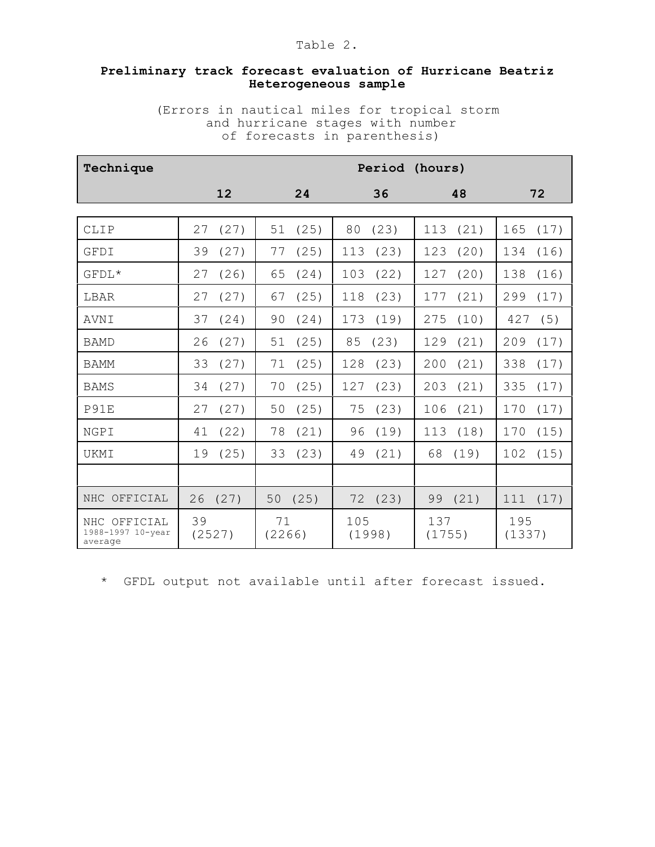### **Preliminary track forecast evaluation of Hurricane Beatriz Heterogeneous sample**

(Errors in nautical miles for tropical storm and hurricane stages with number of forecasts in parenthesis)

| Technique                                    | Period<br>(hours) |              |               |               |               |  |  |
|----------------------------------------------|-------------------|--------------|---------------|---------------|---------------|--|--|
|                                              | 12                | 24           | 36            | 48            | 72            |  |  |
|                                              |                   |              |               |               |               |  |  |
| CLIP                                         | (27)              | (25)         | (23)          | (21)          | (17)          |  |  |
|                                              | 27                | 51           | 80            | 113           | 165           |  |  |
| GFDI                                         | 39                | 77           | (23)          | (20)          | 134           |  |  |
|                                              | (27)              | (25)         | 113           | 123           | (16)          |  |  |
| $GFDL*$                                      | (26)              | (24)         | (22)          | (20)          | 138           |  |  |
|                                              | 27                | 65           | 103           | 127           | (16)          |  |  |
| LBAR                                         | (27)              | (25)         | (23)          | 177           | 299           |  |  |
|                                              | 27                | 67           | 118           | (21)          | (17)          |  |  |
| <b>AVNI</b>                                  | 37                | (24)         | 173           | 275           | (5)           |  |  |
|                                              | (24)              | 90           | (19)          | (10)          | 427           |  |  |
| <b>BAMD</b>                                  | (27)              | (25)         | 85            | 129           | 209           |  |  |
|                                              | 26                | 51           | (23)          | (21)          | (17)          |  |  |
| <b>BAMM</b>                                  | 33                | 71           | 128           | 200           | 338           |  |  |
|                                              | (27)              | (25)         | (23)          | (21)          | (17)          |  |  |
| <b>BAMS</b>                                  | (27)              | (25)         | 127           | (21)          | 335           |  |  |
|                                              | 34                | 70           | (23)          | 203           | (17)          |  |  |
| P91E                                         | 27                | 50           | 75            | (21)          | 170           |  |  |
|                                              | (27)              | (25)         | (23)          | 106           | (17)          |  |  |
| NGPI                                         | (22)              | 78           | (19)          | (18)          | (15)          |  |  |
|                                              | 41                | (21)         | 96            | 113           | 170           |  |  |
| UKMI                                         | (25)              | 33           | (21)          | 68            | 102           |  |  |
|                                              | 19                | (23)         | 49            | (19)          | (15)          |  |  |
|                                              |                   |              |               |               |               |  |  |
| NHC OFFICIAL                                 | (27)              | (25)         | (23)          | (21)          | 111           |  |  |
|                                              | 26                | 50           | 72            | 99            | (17)          |  |  |
| NHC OFFICIAL<br>1988-1997 10-year<br>average | 39<br>(2527)      | 71<br>(2266) | 105<br>(1998) | 137<br>(1755) | 195<br>(1337) |  |  |

\* GFDL output not available until after forecast issued.

#### Table 2.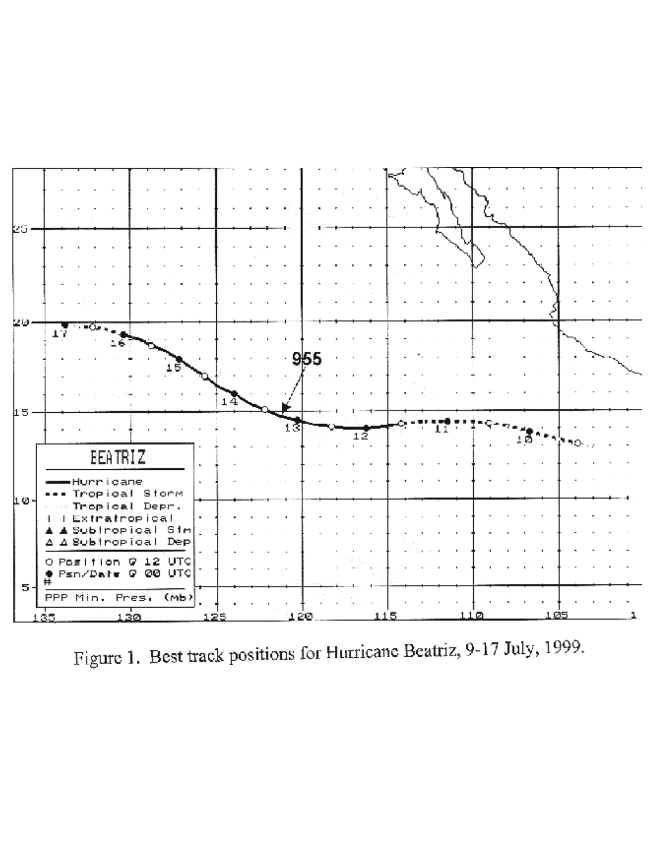

Figure 1. Best track positions for Hurricane Beatriz, 9-17 July, 1999.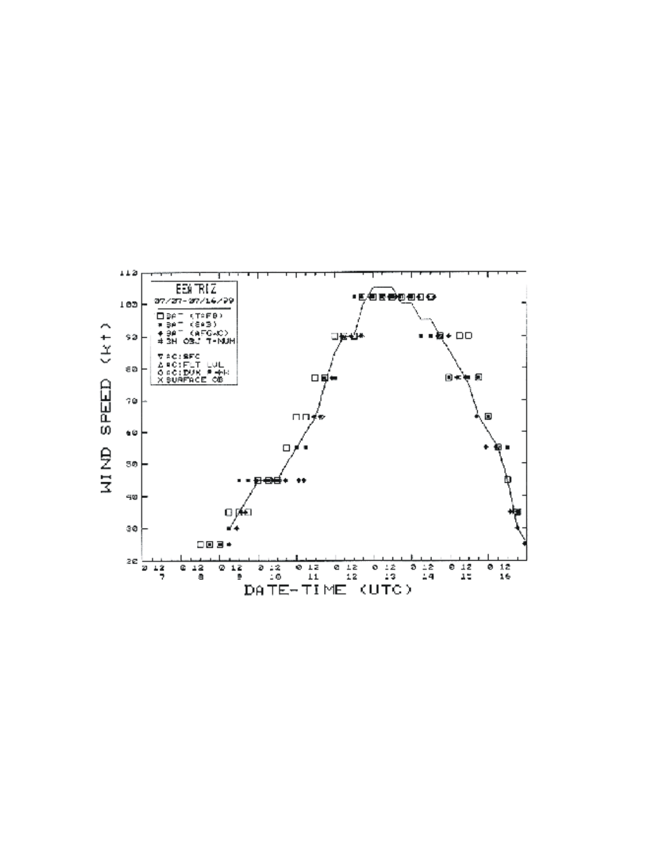